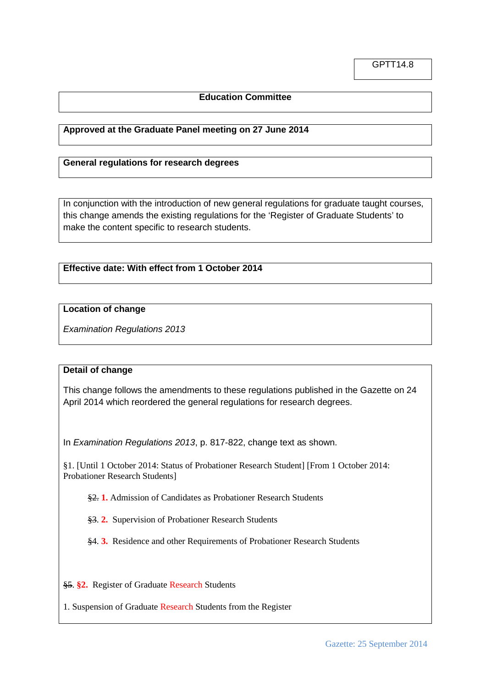# **Education Committee**

## **Approved at the Graduate Panel meeting on 27 June 2014**

## **General regulations for research degrees**

In conjunction with the introduction of new general regulations for graduate taught courses, this change amends the existing regulations for the 'Register of Graduate Students' to make the content specific to research students.

# **Effective date: With effect from 1 October 2014**

### **Location of change**

*Examination Regulations 2013*

### **Detail of change**

This change follows the amendments to these regulations published in the Gazette on 24 April 2014 which reordered the general regulations for research degrees.

In *Examination Regulations 2013*, p. 817-822, change text as shown.

§1. [Until 1 October 2014: Status of Probationer Research Student] [From 1 October 2014: Probationer Research Students]

§2. **1.** Admission of Candidates as Probationer Research Students

§3. **2.** Supervision of Probationer Research Students

§4. **3.** Residence and other Requirements of Probationer Research Students

§5. **§2.** Register of Graduate Research Students

1. Suspension of Graduate Research Students from the Register